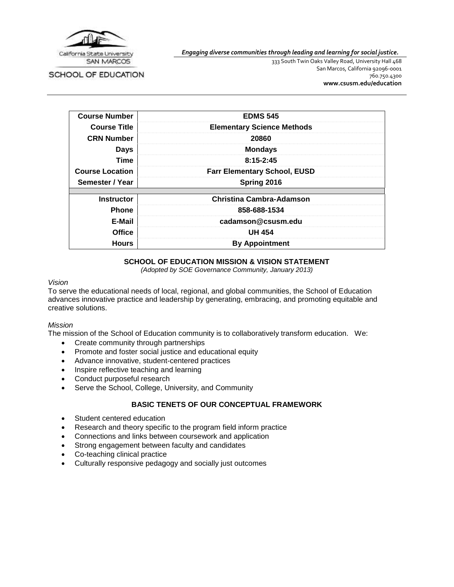

SCHOOL OF EDUCATION

*Engaging diverse communities through leading and learning for social justice.*

333 South Twin Oaks Valley Road, University Hall 468 San Marcos, California 92096-0001 760.750.4300 **[www.csusm.edu/education](http://www.csusm.edu/education)**

| <b>Course Number</b>   | <b>EDMS 545</b>                     |
|------------------------|-------------------------------------|
| <b>Course Title</b>    | <b>Elementary Science Methods</b>   |
| <b>CRN Number</b>      | 20860                               |
| <b>Days</b>            | <b>Mondays</b>                      |
| Time                   | $8:15 - 2:45$                       |
| <b>Course Location</b> | <b>Farr Elementary School, EUSD</b> |
| Semester / Year        | Spring 2016                         |
|                        |                                     |
| <b>Instructor</b>      | <b>Christina Cambra-Adamson</b>     |
| <b>Phone</b>           | 858-688-1534                        |
| E-Mail                 | cadamson@csusm.edu                  |
| <b>Office</b>          | <b>UH 454</b>                       |
| <b>Hours</b>           | <b>By Appointment</b>               |

### **SCHOOL OF EDUCATION MISSION & VISION STATEMENT**

*(Adopted by SOE Governance Community, January 2013)*

#### *Vision*

To serve the educational needs of local, regional, and global communities, the School of Education advances innovative practice and leadership by generating, embracing, and promoting equitable and creative solutions.

#### *Mission*

The mission of the School of Education community is to collaboratively transform education. We:

- Create community through partnerships
- Promote and foster social justice and educational equity
- Advance innovative, student-centered practices
- Inspire reflective teaching and learning
- Conduct purposeful research
- Serve the School, College, University, and Community

## **BASIC TENETS OF OUR CONCEPTUAL FRAMEWORK**

- Student centered education
- Research and theory specific to the program field inform practice
- Connections and links between coursework and application
- Strong engagement between faculty and candidates
- Co-teaching clinical practice
- Culturally responsive pedagogy and socially just outcomes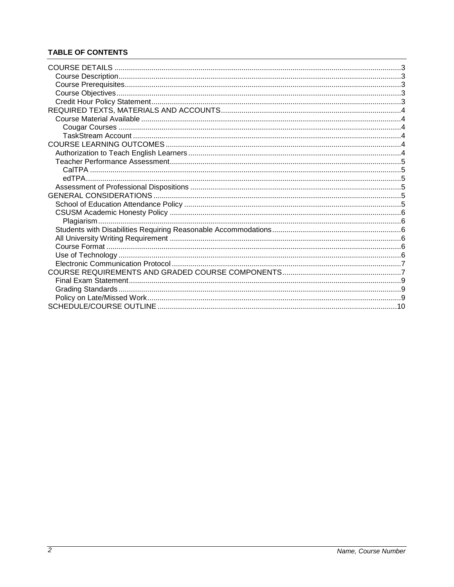# **TABLE OF CONTENTS**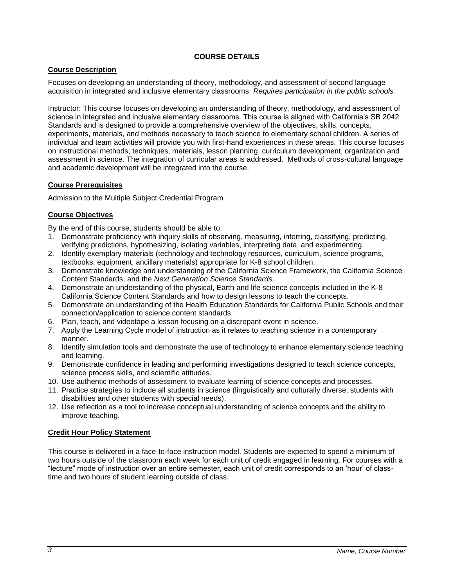## **COURSE DETAILS**

## <span id="page-2-1"></span><span id="page-2-0"></span>**Course Description**

Focuses on developing an understanding of theory, methodology, and assessment of second language acquisition in integrated and inclusive elementary classrooms. *Requires participation in the public schools.*

Instructor: This course focuses on developing an understanding of theory, methodology, and assessment of science in integrated and inclusive elementary classrooms. This course is aligned with California's SB 2042 Standards and is designed to provide a comprehensive overview of the objectives, skills, concepts, experiments, materials, and methods necessary to teach science to elementary school children. A series of individual and team activities will provide you with first-hand experiences in these areas. This course focuses on instructional methods, techniques, materials, lesson planning, curriculum development, organization and assessment in science. The integration of curricular areas is addressed. Methods of cross-cultural language and academic development will be integrated into the course.

### <span id="page-2-2"></span>**Course Prerequisites**

Admission to the Multiple Subject Credential Program

## <span id="page-2-3"></span>**Course Objectives**

By the end of this course, students should be able to:

- 1. Demonstrate proficiency with inquiry skills of observing, measuring, inferring, classifying, predicting, verifying predictions, hypothesizing, isolating variables, interpreting data, and experimenting.
- 2. Identify exemplary materials (technology and technology resources, curriculum, science programs, textbooks, equipment, ancillary materials) appropriate for K-8 school children.
- 3. Demonstrate knowledge and understanding of the California Science Framework, the California Science Content Standards, and the *Next Generation Science Standards*.
- 4. Demonstrate an understanding of the physical, Earth and life science concepts included in the K-8 California Science Content Standards and how to design lessons to teach the concepts.
- 5. Demonstrate an understanding of the Health Education Standards for California Public Schools and their connection/application to science content standards.
- 6. Plan, teach, and videotape a lesson focusing on a discrepant event in science.
- 7. Apply the Learning Cycle model of instruction as it relates to teaching science in a contemporary manner.
- 8. Identify simulation tools and demonstrate the use of technology to enhance elementary science teaching and learning.
- 9. Demonstrate confidence in leading and performing investigations designed to teach science concepts, science process skills, and scientific attitudes.
- 10. Use authentic methods of assessment to evaluate learning of science concepts and processes.
- 11. Practice strategies to include all students in science (linguistically and culturally diverse, students with disabilities and other students with special needs).
- 12. Use reflection as a tool to increase conceptual understanding of science concepts and the ability to improve teaching.

### <span id="page-2-4"></span>**Credit Hour Policy Statement**

This course is delivered in a face-to-face instruction model. Students are expected to spend a minimum of two hours outside of the classroom each week for each unit of credit engaged in learning. For courses with a "lecture" mode of instruction over an entire semester, each unit of credit corresponds to an 'hour' of classtime and two hours of student learning outside of class.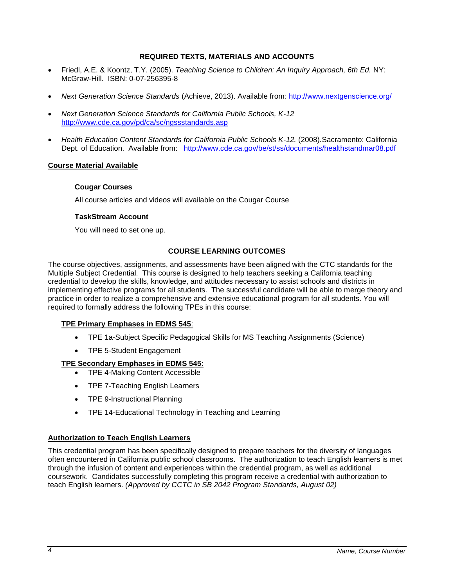### **REQUIRED TEXTS, MATERIALS AND ACCOUNTS**

- <span id="page-3-0"></span> Friedl, A.E. & Koontz, T.Y. (2005). *Teaching Science to Children: An Inquiry Approach, 6th Ed.* NY: McGraw-Hill. ISBN: 0-07-256395-8
- *Next Generation Science Standards* (Achieve, 2013). Available from:<http://www.nextgenscience.org/>
- *Next Generation Science Standards for California Public Schools, K-12* <http://www.cde.ca.gov/pd/ca/sc/ngssstandards.asp>
- *Health Education Content Standards for California Public Schools K-12.* (2008).Sacramento: California Dept. of Education. Available from: <http://www.cde.ca.gov/be/st/ss/documents/healthstandmar08.pdf>

#### <span id="page-3-2"></span><span id="page-3-1"></span>**Course Material Available**

#### **Cougar Courses**

All course articles and videos will available on the Cougar Course

#### <span id="page-3-3"></span>**TaskStream Account**

You will need to set one up.

#### **COURSE LEARNING OUTCOMES**

<span id="page-3-4"></span>The course objectives, assignments, and assessments have been aligned with the CTC standards for the Multiple Subject Credential. This course is designed to help teachers seeking a California teaching credential to develop the skills, knowledge, and attitudes necessary to assist schools and districts in implementing effective programs for all students. The successful candidate will be able to merge theory and practice in order to realize a comprehensive and extensive educational program for all students. You will required to formally address the following TPEs in this course:

#### **TPE Primary Emphases in EDMS 545**:

- TPE 1a-Subject Specific Pedagogical Skills for MS Teaching Assignments (Science)
- TPE 5-Student Engagement

#### **TPE Secondary Emphases in EDMS 545**:

- TPE 4-Making Content Accessible
- TPE 7-Teaching English Learners
- TPE 9-Instructional Planning
- TPE 14-Educational Technology in Teaching and Learning

#### <span id="page-3-5"></span>**Authorization to Teach English Learners**

This credential program has been specifically designed to prepare teachers for the diversity of languages often encountered in California public school classrooms. The authorization to teach English learners is met through the infusion of content and experiences within the credential program, as well as additional coursework. Candidates successfully completing this program receive a credential with authorization to teach English learners. *(Approved by CCTC in SB 2042 Program Standards, August 02)*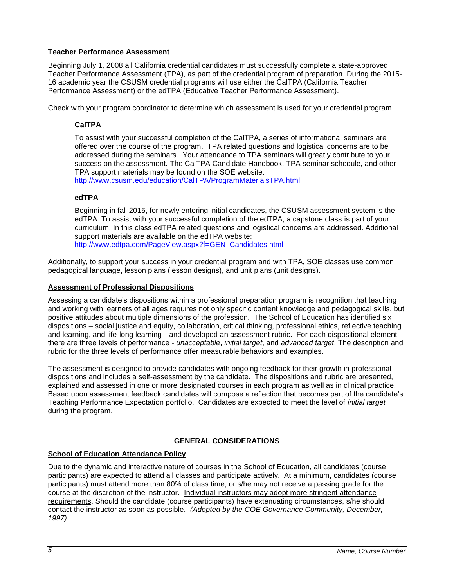## <span id="page-4-0"></span>**Teacher Performance Assessment**

Beginning July 1, 2008 all California credential candidates must successfully complete a state-approved Teacher Performance Assessment (TPA), as part of the credential program of preparation. During the 2015- 16 academic year the CSUSM credential programs will use either the CalTPA (California Teacher Performance Assessment) or the edTPA (Educative Teacher Performance Assessment).

<span id="page-4-1"></span>Check with your program coordinator to determine which assessment is used for your credential program.

## **CalTPA**

To assist with your successful completion of the CalTPA, a series of informational seminars are offered over the course of the program. TPA related questions and logistical concerns are to be addressed during the seminars. Your attendance to TPA seminars will greatly contribute to your success on the assessment. The CalTPA Candidate Handbook, TPA seminar schedule, and other TPA support materials may be found on the SOE website:

<http://www.csusm.edu/education/CalTPA/ProgramMaterialsTPA.html>

### <span id="page-4-2"></span>**edTPA**

Beginning in fall 2015, for newly entering initial candidates, the CSUSM assessment system is the edTPA. To assist with your successful completion of the edTPA, a capstone class is part of your curriculum. In this class edTPA related questions and logistical concerns are addressed. Additional support materials are available on the edTPA website: [http://www.edtpa.com/PageView.aspx?f=GEN\\_Candidates.html](http://www.edtpa.com/PageView.aspx?f=GEN_Candidates.html)

Additionally, to support your success in your credential program and with TPA, SOE classes use common pedagogical language, lesson plans (lesson designs), and unit plans (unit designs).

### <span id="page-4-3"></span>**Assessment of Professional Dispositions**

Assessing a candidate's dispositions within a professional preparation program is recognition that teaching and working with learners of all ages requires not only specific content knowledge and pedagogical skills, but positive attitudes about multiple dimensions of the profession. The School of Education has identified six dispositions – social justice and equity, collaboration, critical thinking, professional ethics, reflective teaching and learning, and life-long learning—and developed an assessment rubric. For each dispositional element, there are three levels of performance - *unacceptable*, *initial target*, and *advanced target*. The description and rubric for the three levels of performance offer measurable behaviors and examples.

The assessment is designed to provide candidates with ongoing feedback for their growth in professional dispositions and includes a self-assessment by the candidate. The dispositions and rubric are presented, explained and assessed in one or more designated courses in each program as well as in clinical practice. Based upon assessment feedback candidates will compose a reflection that becomes part of the candidate's Teaching Performance Expectation portfolio. Candidates are expected to meet the level of *initial target* during the program.

## **GENERAL CONSIDERATIONS**

### <span id="page-4-5"></span><span id="page-4-4"></span>**School of Education Attendance Policy**

Due to the dynamic and interactive nature of courses in the School of Education, all candidates (course participants) are expected to attend all classes and participate actively. At a minimum, candidates (course participants) must attend more than 80% of class time, or s/he may not receive a passing grade for the course at the discretion of the instructor. Individual instructors may adopt more stringent attendance requirements. Should the candidate (course participants) have extenuating circumstances, s/he should contact the instructor as soon as possible. *(Adopted by the COE Governance Community, December, 1997).*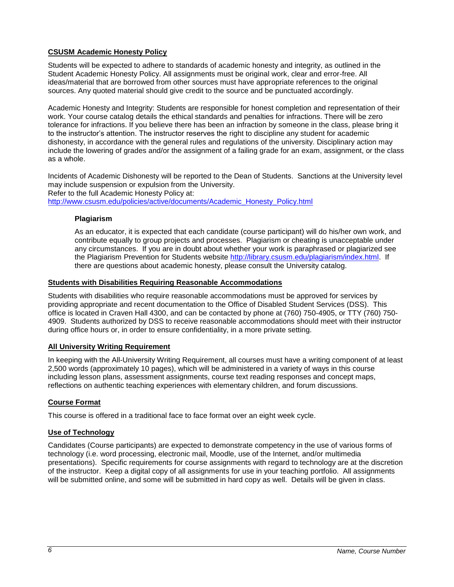## <span id="page-5-0"></span>**CSUSM Academic Honesty Policy**

Students will be expected to adhere to standards of academic honesty and integrity, as outlined in the Student Academic Honesty Policy. All assignments must be original work, clear and error-free. All ideas/material that are borrowed from other sources must have appropriate references to the original sources. Any quoted material should give credit to the source and be punctuated accordingly.

Academic Honesty and Integrity: Students are responsible for honest completion and representation of their work. Your course catalog details the ethical standards and penalties for infractions. There will be zero tolerance for infractions. If you believe there has been an infraction by someone in the class, please bring it to the instructor's attention. The instructor reserves the right to discipline any student for academic dishonesty, in accordance with the general rules and regulations of the university. Disciplinary action may include the lowering of grades and/or the assignment of a failing grade for an exam, assignment, or the class as a whole.

Incidents of Academic Dishonesty will be reported to the Dean of Students. Sanctions at the University level may include suspension or expulsion from the University. Refer to the full Academic Honesty Policy at: [http://www.csusm.edu/policies/active/documents/Academic\\_Honesty\\_Policy.html](http://www.csusm.edu/policies/active/documents/Academic_Honesty_Policy.html)

#### <span id="page-5-1"></span>**Plagiarism**

As an educator, it is expected that each candidate (course participant) will do his/her own work, and contribute equally to group projects and processes. Plagiarism or cheating is unacceptable under any circumstances. If you are in doubt about whether your work is paraphrased or plagiarized see the Plagiarism Prevention for Students website [http://library.csusm.edu/plagiarism/index.html.](http://library.csusm.edu/plagiarism/index.html) If there are questions about academic honesty, please consult the University catalog.

#### <span id="page-5-2"></span>**Students with Disabilities Requiring Reasonable Accommodations**

Students with disabilities who require reasonable accommodations must be approved for services by providing appropriate and recent documentation to the Office of Disabled Student Services (DSS). This office is located in Craven Hall 4300, and can be contacted by phone at (760) 750-4905, or TTY (760) 750- 4909. Students authorized by DSS to receive reasonable accommodations should meet with their instructor during office hours or, in order to ensure confidentiality, in a more private setting.

### <span id="page-5-3"></span>**All University Writing Requirement**

In keeping with the All-University Writing Requirement, all courses must have a writing component of at least 2,500 words (approximately 10 pages), which will be administered in a variety of ways in this course including lesson plans, assessment assignments, course text reading responses and concept maps, reflections on authentic teaching experiences with elementary children, and forum discussions.

### <span id="page-5-4"></span>**Course Format**

This course is offered in a traditional face to face format over an eight week cycle.

### <span id="page-5-5"></span>**Use of Technology**

Candidates (Course participants) are expected to demonstrate competency in the use of various forms of technology (i.e. word processing, electronic mail, Moodle, use of the Internet, and/or multimedia presentations). Specific requirements for course assignments with regard to technology are at the discretion of the instructor. Keep a digital copy of all assignments for use in your teaching portfolio. All assignments will be submitted online, and some will be submitted in hard copy as well. Details will be given in class.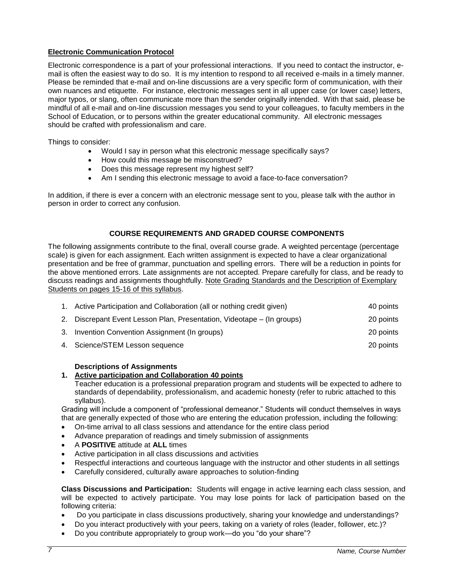### <span id="page-6-0"></span>**Electronic Communication Protocol**

Electronic correspondence is a part of your professional interactions. If you need to contact the instructor, email is often the easiest way to do so. It is my intention to respond to all received e-mails in a timely manner. Please be reminded that e-mail and on-line discussions are a very specific form of communication, with their own nuances and etiquette. For instance, electronic messages sent in all upper case (or lower case) letters, major typos, or slang, often communicate more than the sender originally intended. With that said, please be mindful of all e-mail and on-line discussion messages you send to your colleagues, to faculty members in the School of Education, or to persons within the greater educational community. All electronic messages should be crafted with professionalism and care.

Things to consider:

- Would I say in person what this electronic message specifically says?
- How could this message be misconstrued?
- Does this message represent my highest self?
- Am I sending this electronic message to avoid a face-to-face conversation?

In addition, if there is ever a concern with an electronic message sent to you, please talk with the author in person in order to correct any confusion.

### **COURSE REQUIREMENTS AND GRADED COURSE COMPONENTS**

<span id="page-6-1"></span>The following assignments contribute to the final, overall course grade. A weighted percentage (percentage scale) is given for each assignment. Each written assignment is expected to have a clear organizational presentation and be free of grammar, punctuation and spelling errors. There will be a reduction in points for the above mentioned errors. Late assignments are not accepted. Prepare carefully for class, and be ready to discuss readings and assignments thoughtfully. Note Grading Standards and the Description of Exemplary Students on pages 15-16 of this syllabus.

| 1. Active Participation and Collaboration (all or nothing credit given) | 40 points |
|-------------------------------------------------------------------------|-----------|
| 2. Discrepant Event Lesson Plan, Presentation, Videotape – (In groups)  | 20 points |
| 3. Invention Convention Assignment (In groups)                          | 20 points |
| 4. Science/STEM Lesson sequence                                         | 20 points |

### **Descriptions of Assignments**

#### **1. Active participation and Collaboration 40 points**

Teacher education is a professional preparation program and students will be expected to adhere to standards of dependability, professionalism, and academic honesty (refer to rubric attached to this syllabus).

Grading will include a component of "professional demeanor." Students will conduct themselves in ways that are generally expected of those who are entering the education profession, including the following:

- On-time arrival to all class sessions and attendance for the entire class period
- Advance preparation of readings and timely submission of assignments
- A **POSITIVE** attitude at **ALL** times
- Active participation in all class discussions and activities
- Respectful interactions and courteous language with the instructor and other students in all settings
- Carefully considered, culturally aware approaches to solution-finding

**Class Discussions and Participation:** Students will engage in active learning each class session, and will be expected to actively participate. You may lose points for lack of participation based on the following criteria:

- Do you participate in class discussions productively, sharing your knowledge and understandings?
- Do you interact productively with your peers, taking on a variety of roles (leader, follower, etc.)?
- Do you contribute appropriately to group work—do you "do your share"?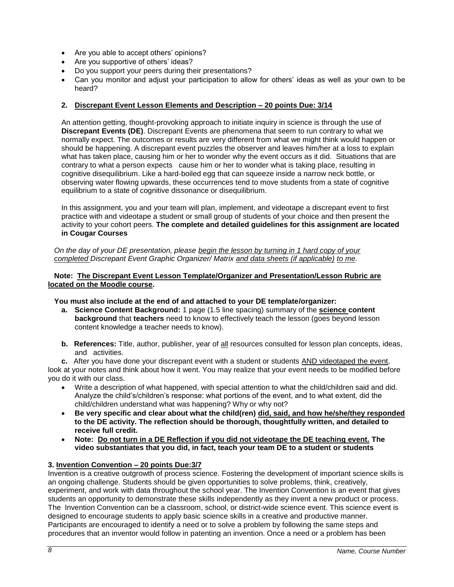- Are you able to accept others' opinions?
- Are you supportive of others' ideas?
- Do you support your peers during their presentations?
- Can you monitor and adjust your participation to allow for others' ideas as well as your own to be heard?

#### **2. Discrepant Event Lesson Elements and Description – 20 points Due: 3/14**

An attention getting, thought-provoking approach to initiate inquiry in science is through the use of **Discrepant Events (DE)**. Discrepant Events are phenomena that seem to run contrary to what we normally expect. The outcomes or results are very different from what we might think would happen or should be happening. A discrepant event puzzles the observer and leaves him/her at a loss to explain what has taken place, causing him or her to wonder why the event occurs as it did. Situations that are contrary to what a person expects cause him or her to wonder what is taking place, resulting in cognitive disequilibrium. Like a hard-boiled egg that can squeeze inside a narrow neck bottle, or observing water flowing upwards, these occurrences tend to move students from a state of cognitive equilibrium to a state of cognitive dissonance or disequilibrium.

In this assignment, you and your team will plan, implement, and videotape a discrepant event to first practice with and videotape a student or small group of students of your choice and then present the activity to your cohort peers. **The complete and detailed guidelines for this assignment are located in Cougar Courses**

*On the day of your DE presentation, please begin the lesson by turning in 1 hard copy of your completed Discrepant Event Graphic Organizer/ Matrix and data sheets (if applicable) to me.* 

#### **Note: The Discrepant Event Lesson Template/Organizer and Presentation/Lesson Rubric are located on the Moodle course.**

**You must also include at the end of and attached to your DE template/organizer:**

- **a. Science Content Background:** 1 page (1.5 line spacing) summary of the **science content background** that **teachers** need to know to effectively teach the lesson (goes beyond lesson content knowledge a teacher needs to know).
- **b. References:** Title, author, publisher, year of all resources consulted for lesson plan concepts, ideas, and activities.

**c.** After you have done your discrepant event with a student or students AND videotaped the event, look at your notes and think about how it went. You may realize that your event needs to be modified before you do it with our class.

- Write a description of what happened, with special attention to what the child/children said and did. Analyze the child's/children's response: what portions of the event, and to what extent, did the child/children understand what was happening? Why or why not?
- **Be very specific and clear about what the child(ren) did, said, and how he/she/they responded to the DE activity. The reflection should be thorough, thoughtfully written, and detailed to receive full credit.**
- **Note: Do not turn in a DE Reflection if you did not videotape the DE teaching event. The video substantiates that you did, in fact, teach your team DE to a student or students**

### **3. Invention Convention – 20 points Due:3/7**

Invention is a creative outgrowth of process science. Fostering the development of important science skills is an ongoing challenge. Students should be given opportunities to solve problems, think, creatively, experiment, and work with data throughout the school year. The Invention Convention is an event that gives students an opportunity to demonstrate these skills independently as they invent a new product or process. The Invention Convention can be a classroom, school, or district-wide science event. This science event is designed to encourage students to apply basic science skills in a creative and productive manner. Participants are encouraged to identify a need or to solve a problem by following the same steps and procedures that an inventor would follow in patenting an invention. Once a need or a problem has been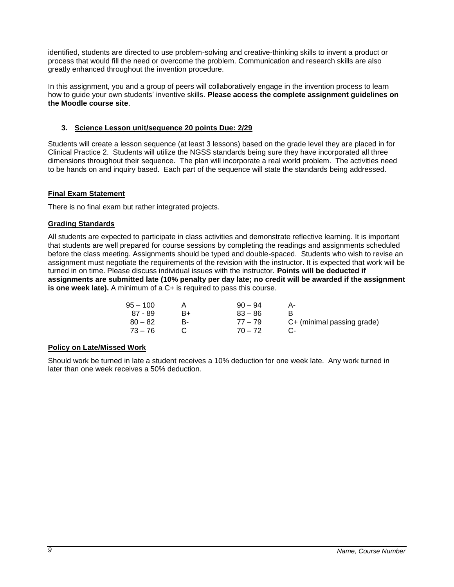identified, students are directed to use problem-solving and creative-thinking skills to invent a product or process that would fill the need or overcome the problem. Communication and research skills are also greatly enhanced throughout the invention procedure.

In this assignment, you and a group of peers will collaboratively engage in the invention process to learn how to guide your own students' inventive skills. **Please access the complete assignment guidelines on the Moodle course site**.

### **3. Science Lesson unit/sequence 20 points Due: 2/29**

Students will create a lesson sequence (at least 3 lessons) based on the grade level they are placed in for Clinical Practice 2. Students will utilize the NGSS standards being sure they have incorporated all three dimensions throughout their sequence. The plan will incorporate a real world problem. The activities need to be hands on and inquiry based. Each part of the sequence will state the standards being addressed.

#### <span id="page-8-0"></span>**Final Exam Statement**

There is no final exam but rather integrated projects.

#### <span id="page-8-1"></span>**Grading Standards**

All students are expected to participate in class activities and demonstrate reflective learning. It is important that students are well prepared for course sessions by completing the readings and assignments scheduled before the class meeting. Assignments should be typed and double-spaced. Students who wish to revise an assignment must negotiate the requirements of the revision with the instructor. It is expected that work will be turned in on time. Please discuss individual issues with the instructor. **Points will be deducted if assignments are submitted late (10% penalty per day late; no credit will be awarded if the assignment is one week late).** A minimum of a C+ is required to pass this course.

| $95 - 100$ |    | $90 - 94$ |                            |
|------------|----|-----------|----------------------------|
| 87 - 89    | B+ | $83 - 86$ |                            |
| $80 - 82$  | R- | $77 - 79$ | C+ (minimal passing grade) |
| 73 – 76    |    | $70 - 72$ |                            |

#### <span id="page-8-2"></span>**Policy on Late/Missed Work**

Should work be turned in late a student receives a 10% deduction for one week late. Any work turned in later than one week receives a 50% deduction.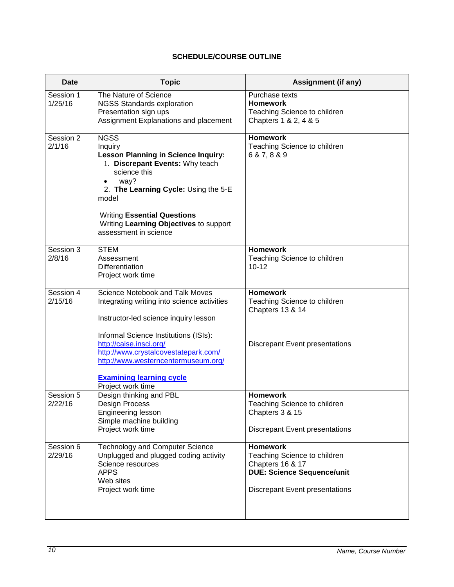# **SCHEDULE/COURSE OUTLINE**

<span id="page-9-0"></span>

| Date                 | <b>Topic</b>                                                                                                                                                                                                                                                                                                                       | Assignment (if any)                                                                                                                                          |
|----------------------|------------------------------------------------------------------------------------------------------------------------------------------------------------------------------------------------------------------------------------------------------------------------------------------------------------------------------------|--------------------------------------------------------------------------------------------------------------------------------------------------------------|
| Session 1<br>1/25/16 | The Nature of Science<br><b>NGSS Standards exploration</b><br>Presentation sign ups<br>Assignment Explanations and placement                                                                                                                                                                                                       | Purchase texts<br><b>Homework</b><br>Teaching Science to children<br>Chapters 1 & 2, 4 & 5                                                                   |
| Session 2<br>2/1/16  | <b>NGSS</b><br>Inquiry<br><b>Lesson Planning in Science Inquiry:</b><br>1. Discrepant Events: Why teach<br>science this<br>way?<br>$\bullet$<br>2. The Learning Cycle: Using the 5-E<br>model<br><b>Writing Essential Questions</b><br>Writing Learning Objectives to support<br>assessment in science                             | <b>Homework</b><br>Teaching Science to children<br>6 & 7, 8 & 9                                                                                              |
| Session 3<br>2/8/16  | <b>STEM</b><br>Assessment<br>Differentiation<br>Project work time                                                                                                                                                                                                                                                                  | <b>Homework</b><br>Teaching Science to children<br>$10 - 12$                                                                                                 |
| Session 4<br>2/15/16 | Science Notebook and Talk Moves<br>Integrating writing into science activities<br>Instructor-led science inquiry lesson<br>Informal Science Institutions (ISIs):<br>http://caise.insci.org/<br>http://www.crystalcovestatepark.com/<br>http://www.westerncentermuseum.org/<br><b>Examining learning cycle</b><br>Project work time | <b>Homework</b><br>Teaching Science to children<br><b>Chapters 13 &amp; 14</b><br><b>Discrepant Event presentations</b>                                      |
| Session 5<br>2/22/16 | Design thinking and PBL<br><b>Design Process</b><br>Engineering lesson<br>Simple machine building<br>Project work time                                                                                                                                                                                                             | <b>Homework</b><br>Teaching Science to children<br>Chapters 3 & 15<br><b>Discrepant Event presentations</b>                                                  |
| Session 6<br>2/29/16 | <b>Technology and Computer Science</b><br>Unplugged and plugged coding activity<br>Science resources<br><b>APPS</b><br>Web sites<br>Project work time                                                                                                                                                                              | <b>Homework</b><br>Teaching Science to children<br><b>Chapters 16 &amp; 17</b><br><b>DUE: Science Sequence/unit</b><br><b>Discrepant Event presentations</b> |